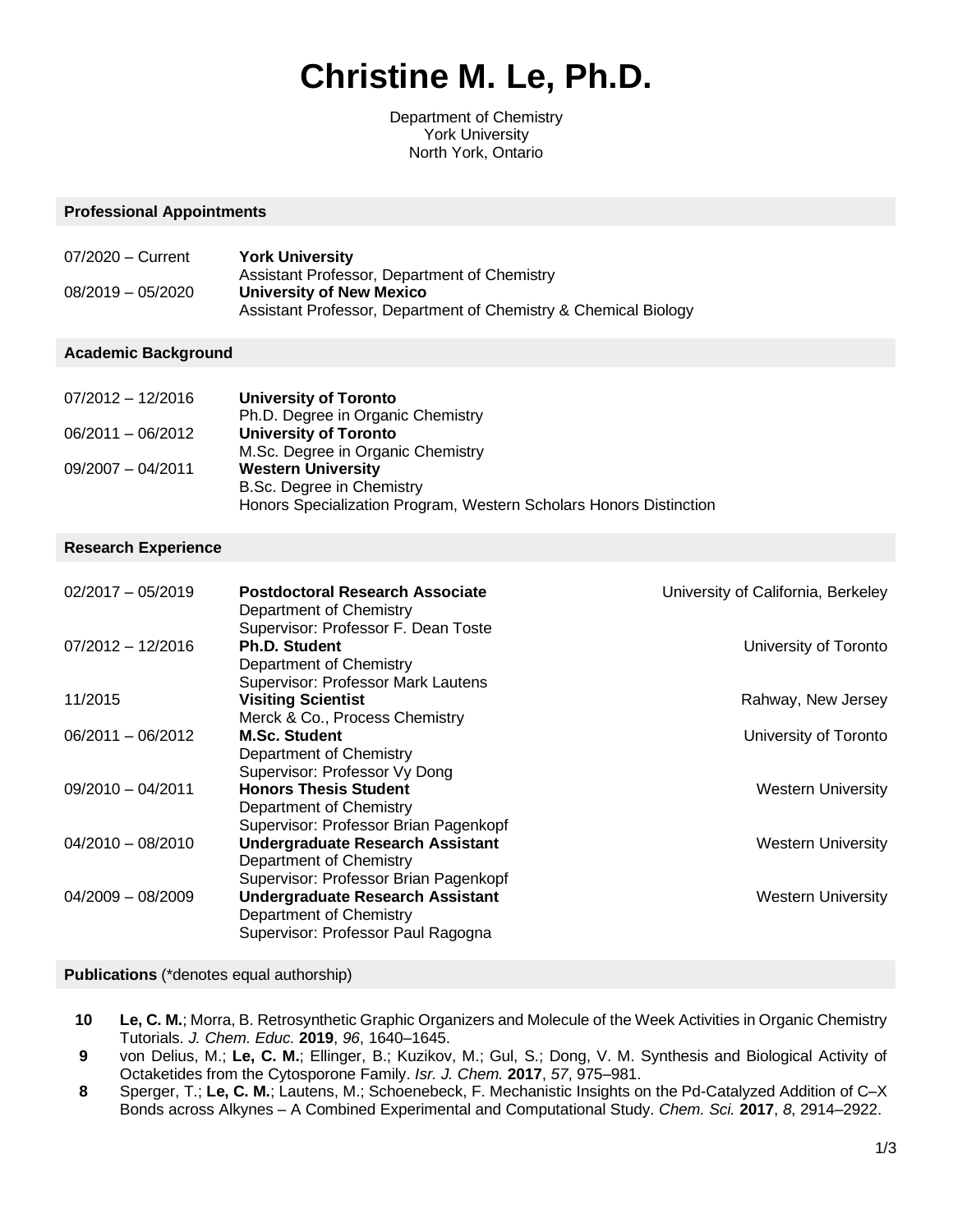# **Christine M. Le, Ph.D.**

Department of Chemistry York University North York, Ontario

#### **Professional Appointments**

| 07/2020 - Current   | <b>York University</b>                                          |
|---------------------|-----------------------------------------------------------------|
|                     | Assistant Professor, Department of Chemistry                    |
| $08/2019 - 05/2020$ | University of New Mexico                                        |
|                     | Assistant Professor, Department of Chemistry & Chemical Biology |

#### **Academic Background**

| $07/2012 - 12/2016$ | University of Toronto                                              |
|---------------------|--------------------------------------------------------------------|
|                     | Ph.D. Degree in Organic Chemistry                                  |
| 06/2011 - 06/2012   | <b>University of Toronto</b>                                       |
|                     | M.Sc. Degree in Organic Chemistry                                  |
| $09/2007 - 04/2011$ | <b>Western University</b>                                          |
|                     | B.Sc. Degree in Chemistry                                          |
|                     | Honors Specialization Program, Western Scholars Honors Distinction |

#### **Research Experience**

| $02/2017 - 05/2019$ | <b>Postdoctoral Research Associate</b><br>Department of Chemistry<br>Supervisor: Professor F. Dean Toste | University of California, Berkeley |
|---------------------|----------------------------------------------------------------------------------------------------------|------------------------------------|
| $07/2012 - 12/2016$ | <b>Ph.D. Student</b>                                                                                     | University of Toronto              |
|                     | Department of Chemistry<br>Supervisor: Professor Mark Lautens                                            |                                    |
| 11/2015             | <b>Visiting Scientist</b>                                                                                | Rahway, New Jersey                 |
|                     | Merck & Co., Process Chemistry                                                                           |                                    |
| $06/2011 - 06/2012$ | <b>M.Sc. Student</b>                                                                                     | University of Toronto              |
|                     | Department of Chemistry                                                                                  |                                    |
|                     | Supervisor: Professor Vy Dong                                                                            |                                    |
| $09/2010 - 04/2011$ | <b>Honors Thesis Student</b>                                                                             | <b>Western University</b>          |
|                     | Department of Chemistry                                                                                  |                                    |
|                     | Supervisor: Professor Brian Pagenkopf                                                                    |                                    |
| $04/2010 - 08/2010$ | <b>Undergraduate Research Assistant</b>                                                                  | <b>Western University</b>          |
|                     | Department of Chemistry                                                                                  |                                    |
|                     | Supervisor: Professor Brian Pagenkopf                                                                    |                                    |
| $04/2009 - 08/2009$ | <b>Undergraduate Research Assistant</b>                                                                  | <b>Western University</b>          |
|                     | Department of Chemistry                                                                                  |                                    |
|                     | Supervisor: Professor Paul Ragogna                                                                       |                                    |

#### **Publications** (\*denotes equal authorship)

- **10 Le, C. M.**; Morra, B. Retrosynthetic Graphic Organizers and Molecule of the Week Activities in Organic Chemistry Tutorials. *J. Chem. Educ.* **2019**, *96*, 1640‒1645.
- **9** von Delius, M.; **Le, C. M.**; Ellinger, B.; Kuzikov, M.; Gul, S.; Dong, V. M. Synthesis and Biological Activity of Octaketides from the Cytosporone Family. *Isr. J. Chem.* **2017**, *57*, 975‒981.
- **8** Sperger, T.; **Le, C. M.**; Lautens, M.; Schoenebeck, F. Mechanistic Insights on the Pd-Catalyzed Addition of C–X Bonds across Alkynes - A Combined Experimental and Computational Study. *Chem. Sci.* 2017, 8, 2914–2922.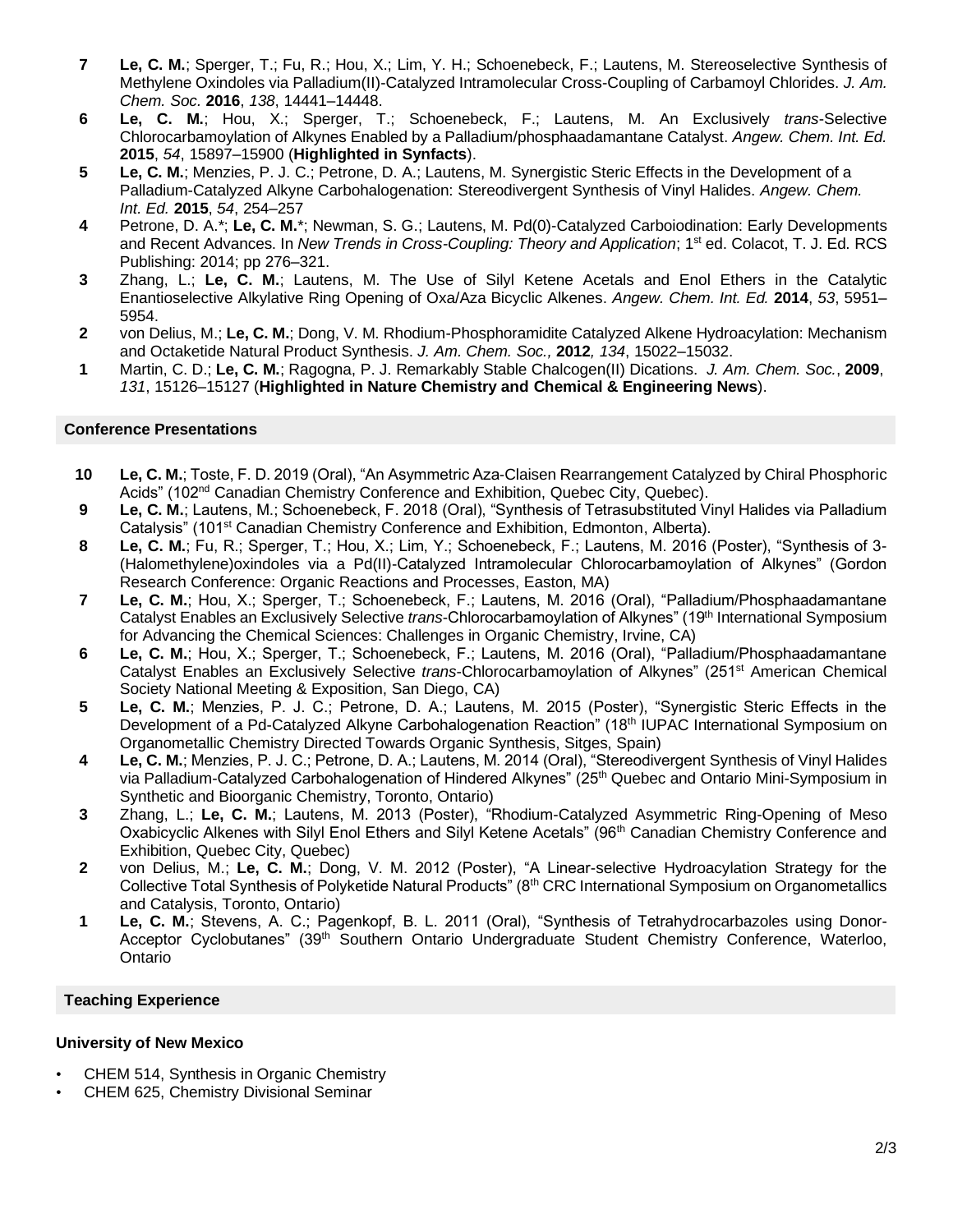- **7 Le, C. M.**; Sperger, T.; Fu, R.; Hou, X.; Lim, Y. H.; Schoenebeck, F.; Lautens, M. Stereoselective Synthesis of Methylene Oxindoles via Palladium(II)-Catalyzed Intramolecular Cross-Coupling of Carbamoyl Chlorides. *J. Am. Chem. Soc.* **2016**, *138*, 14441‒14448.
- **6 Le, C. M.**; Hou, X.; Sperger, T.; Schoenebeck, F.; Lautens, M. An Exclusively *trans*-Selective Chlorocarbamoylation of Alkynes Enabled by a Palladium/phosphaadamantane Catalyst. *Angew. Chem. Int. Ed.*  **2015**, *54*, 15897‒15900 (**Highlighted in Synfacts**).
- **5 Le, C. M.**; Menzies, P. J. C.; Petrone, D. A.; Lautens, M. Synergistic Steric Effects in the Development of a Palladium-Catalyzed Alkyne Carbohalogenation: Stereodivergent Synthesis of Vinyl Halides. *Angew. Chem. Int. Ed.* **2015**, *54*, 254‒257
- **4** Petrone, D. A.\*; **Le, C. M.**\*; Newman, S. G.; Lautens, M. Pd(0)-Catalyzed Carboiodination: Early Developments and Recent Advances. In *New Trends in Cross-Coupling: Theory and Application*; 1st ed. Colacot, T. J. Ed. RCS Publishing: 2014; pp 276‒321.
- **3** Zhang, L.; **Le, C. M.**; Lautens, M. The Use of Silyl Ketene Acetals and Enol Ethers in the Catalytic Enantioselective Alkylative Ring Opening of Oxa/Aza Bicyclic Alkenes. *Angew. Chem. Int. Ed.* **2014**, *53*, 5951‒ 5954.
- **2** von Delius, M.; **Le, C. M.**; Dong, V. M. Rhodium-Phosphoramidite Catalyzed Alkene Hydroacylation: Mechanism and Octaketide Natural Product Synthesis. *J. Am. Chem. Soc.,* **2012***, 134*, 15022‒15032.
- **1** Martin, C. D.; **Le, C. M.**; Ragogna, P. J. Remarkably Stable Chalcogen(II) Dications. *J. Am. Chem. Soc.*, **2009**, *131*, 15126‒15127 (**Highlighted in Nature Chemistry and Chemical & Engineering News**).

#### **Conference Presentations**

- **10 Le, C. M.**; Toste, F. D. 2019 (Oral), "An Asymmetric Aza-Claisen Rearrangement Catalyzed by Chiral Phosphoric Acids" (102nd Canadian Chemistry Conference and Exhibition, Quebec City, Quebec).
- **9 Le, C. M.**; Lautens, M.; Schoenebeck, F. 2018 (Oral), "Synthesis of Tetrasubstituted Vinyl Halides via Palladium Catalysis" (101<sup>st</sup> Canadian Chemistry Conference and Exhibition, Edmonton, Alberta).
- **8 Le, C. M.**; Fu, R.; Sperger, T.; Hou, X.; Lim, Y.; Schoenebeck, F.; Lautens, M. 2016 (Poster), "Synthesis of 3- (Halomethylene)oxindoles via a Pd(II)-Catalyzed Intramolecular Chlorocarbamoylation of Alkynes" (Gordon Research Conference: Organic Reactions and Processes, Easton, MA)
- **7 Le, C. M.**; Hou, X.; Sperger, T.; Schoenebeck, F.; Lautens, M. 2016 (Oral), "Palladium/Phosphaadamantane Catalyst Enables an Exclusively Selective *trans*-Chlorocarbamoylation of Alkynes" (19th International Symposium for Advancing the Chemical Sciences: Challenges in Organic Chemistry, Irvine, CA)
- **6 Le, C. M.**; Hou, X.; Sperger, T.; Schoenebeck, F.; Lautens, M. 2016 (Oral), "Palladium/Phosphaadamantane Catalyst Enables an Exclusively Selective *trans*-Chlorocarbamoylation of Alkynes" (251st American Chemical Society National Meeting & Exposition, San Diego, CA)
- **5 Le, C. M.**; Menzies, P. J. C.; Petrone, D. A.; Lautens, M. 2015 (Poster), "Synergistic Steric Effects in the Development of a Pd-Catalyzed Alkyne Carbohalogenation Reaction" (18<sup>th</sup> IUPAC International Symposium on Organometallic Chemistry Directed Towards Organic Synthesis, Sitges, Spain)
- **4 Le, C. M.**; Menzies, P. J. C.; Petrone, D. A.; Lautens, M. 2014 (Oral), "Stereodivergent Synthesis of Vinyl Halides via Palladium-Catalyzed Carbohalogenation of Hindered Alkynes" (25<sup>th</sup> Quebec and Ontario Mini-Symposium in Synthetic and Bioorganic Chemistry, Toronto, Ontario)
- **3** Zhang, L.; **Le, C. M.**; Lautens, M. 2013 (Poster), "Rhodium-Catalyzed Asymmetric Ring-Opening of Meso Oxabicyclic Alkenes with Silyl Enol Ethers and Silyl Ketene Acetals" (96<sup>th</sup> Canadian Chemistry Conference and Exhibition, Quebec City, Quebec)
- **2** von Delius, M.; **Le, C. M.**; Dong, V. M. 2012 (Poster), "A Linear-selective Hydroacylation Strategy for the Collective Total Synthesis of Polyketide Natural Products" (8th CRC International Symposium on Organometallics and Catalysis, Toronto, Ontario)
- **1 Le, C. M.**; Stevens, A. C.; Pagenkopf, B. L. 2011 (Oral), "Synthesis of Tetrahydrocarbazoles using Donor-Acceptor Cyclobutanes" (39th Southern Ontario Undergraduate Student Chemistry Conference, Waterloo, Ontario

#### **Teaching Experience**

#### **University of New Mexico**

- CHEM 514, Synthesis in Organic Chemistry
- CHEM 625, Chemistry Divisional Seminar